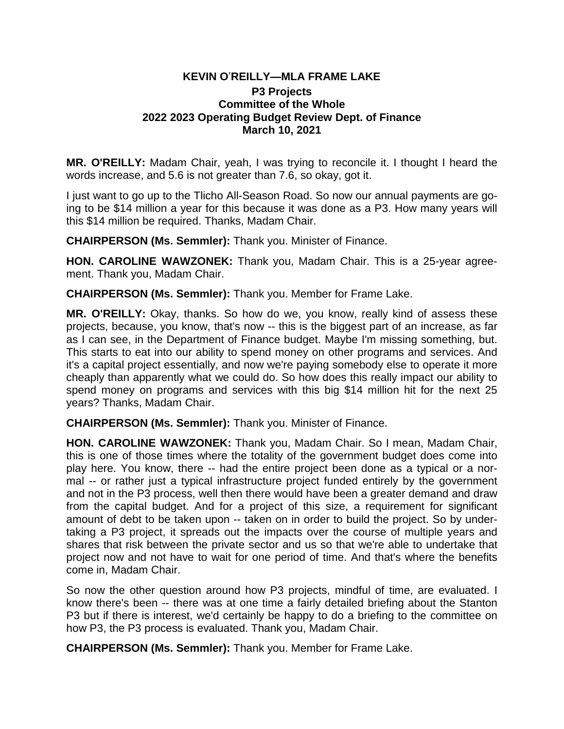## **KEVIN O**'**REILLY—MLA FRAME LAKE**

## **P3 Projects Committee of the Whole 2022 2023 Operating Budget Review Dept. of Finance March 10, 2021**

**MR. O'REILLY:** Madam Chair, yeah, I was trying to reconcile it. I thought I heard the words increase, and 5.6 is not greater than 7.6, so okay, got it.

I just want to go up to the Tlicho All-Season Road. So now our annual payments are going to be \$14 million a year for this because it was done as a P3. How many years will this \$14 million be required. Thanks, Madam Chair.

**CHAIRPERSON (Ms. Semmler):** Thank you. Minister of Finance.

**HON. CAROLINE WAWZONEK:** Thank you, Madam Chair. This is a 25-year agreement. Thank you, Madam Chair.

**CHAIRPERSON (Ms. Semmler):** Thank you. Member for Frame Lake.

**MR. O'REILLY:** Okay, thanks. So how do we, you know, really kind of assess these projects, because, you know, that's now -- this is the biggest part of an increase, as far as I can see, in the Department of Finance budget. Maybe I'm missing something, but. This starts to eat into our ability to spend money on other programs and services. And it's a capital project essentially, and now we're paying somebody else to operate it more cheaply than apparently what we could do. So how does this really impact our ability to spend money on programs and services with this big \$14 million hit for the next 25 years? Thanks, Madam Chair.

**CHAIRPERSON (Ms. Semmler):** Thank you. Minister of Finance.

**HON. CAROLINE WAWZONEK:** Thank you, Madam Chair. So I mean, Madam Chair, this is one of those times where the totality of the government budget does come into play here. You know, there -- had the entire project been done as a typical or a normal -- or rather just a typical infrastructure project funded entirely by the government and not in the P3 process, well then there would have been a greater demand and draw from the capital budget. And for a project of this size, a requirement for significant amount of debt to be taken upon -- taken on in order to build the project. So by undertaking a P3 project, it spreads out the impacts over the course of multiple years and shares that risk between the private sector and us so that we're able to undertake that project now and not have to wait for one period of time. And that's where the benefits come in, Madam Chair.

So now the other question around how P3 projects, mindful of time, are evaluated. I know there's been -- there was at one time a fairly detailed briefing about the Stanton P3 but if there is interest, we'd certainly be happy to do a briefing to the committee on how P3, the P3 process is evaluated. Thank you, Madam Chair.

**CHAIRPERSON (Ms. Semmler):** Thank you. Member for Frame Lake.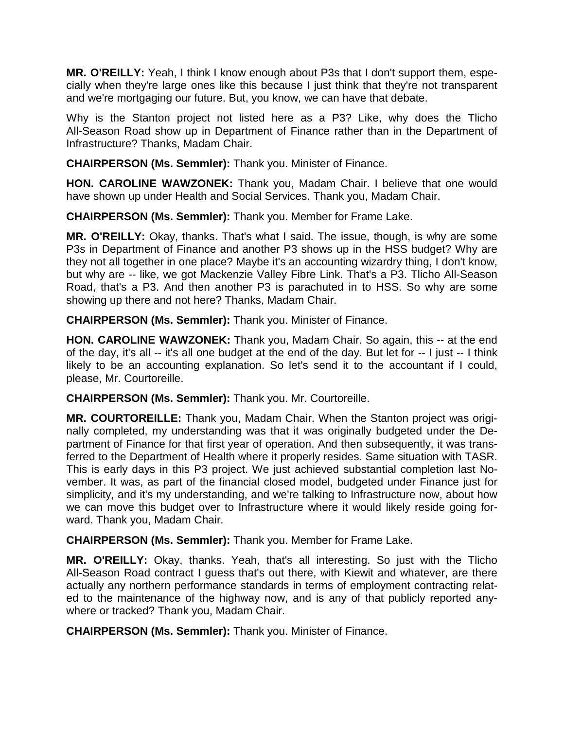**MR. O'REILLY:** Yeah, I think I know enough about P3s that I don't support them, especially when they're large ones like this because I just think that they're not transparent and we're mortgaging our future. But, you know, we can have that debate.

Why is the Stanton project not listed here as a P3? Like, why does the Tlicho All-Season Road show up in Department of Finance rather than in the Department of Infrastructure? Thanks, Madam Chair.

**CHAIRPERSON (Ms. Semmler):** Thank you. Minister of Finance.

**HON. CAROLINE WAWZONEK:** Thank you, Madam Chair. I believe that one would have shown up under Health and Social Services. Thank you, Madam Chair.

**CHAIRPERSON (Ms. Semmler):** Thank you. Member for Frame Lake.

**MR. O'REILLY:** Okay, thanks. That's what I said. The issue, though, is why are some P3s in Department of Finance and another P3 shows up in the HSS budget? Why are they not all together in one place? Maybe it's an accounting wizardry thing, I don't know, but why are -- like, we got Mackenzie Valley Fibre Link. That's a P3. Tlicho All-Season Road, that's a P3. And then another P3 is parachuted in to HSS. So why are some showing up there and not here? Thanks, Madam Chair.

**CHAIRPERSON (Ms. Semmler):** Thank you. Minister of Finance.

**HON. CAROLINE WAWZONEK:** Thank you, Madam Chair. So again, this -- at the end of the day, it's all -- it's all one budget at the end of the day. But let for -- I just -- I think likely to be an accounting explanation. So let's send it to the accountant if I could, please, Mr. Courtoreille.

**CHAIRPERSON (Ms. Semmler):** Thank you. Mr. Courtoreille.

**MR. COURTOREILLE:** Thank you, Madam Chair. When the Stanton project was originally completed, my understanding was that it was originally budgeted under the Department of Finance for that first year of operation. And then subsequently, it was transferred to the Department of Health where it properly resides. Same situation with TASR. This is early days in this P3 project. We just achieved substantial completion last November. It was, as part of the financial closed model, budgeted under Finance just for simplicity, and it's my understanding, and we're talking to Infrastructure now, about how we can move this budget over to Infrastructure where it would likely reside going forward. Thank you, Madam Chair.

**CHAIRPERSON (Ms. Semmler):** Thank you. Member for Frame Lake.

**MR. O'REILLY:** Okay, thanks. Yeah, that's all interesting. So just with the Tlicho All-Season Road contract I guess that's out there, with Kiewit and whatever, are there actually any northern performance standards in terms of employment contracting related to the maintenance of the highway now, and is any of that publicly reported anywhere or tracked? Thank you, Madam Chair.

**CHAIRPERSON (Ms. Semmler):** Thank you. Minister of Finance.